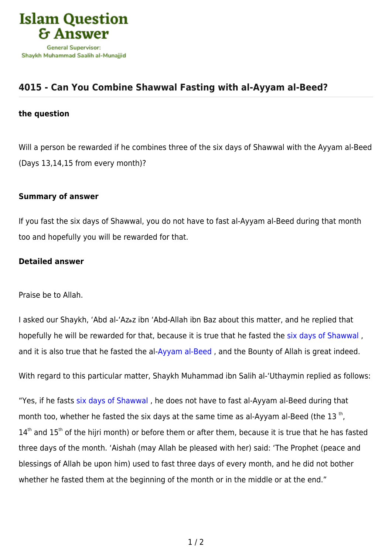

## **[4015 - Can You Combine Shawwal Fasting with al-Ayyam al-Beed?](https://islamqa.com/en/answers/4015/can-you-combine-shawwal-fasting-with-al-ayyam-al-beed)**

## **the question**

Will a person be rewarded if he combines three of the six days of Shawwal with the Ayyam al-Beed (Days 13,14,15 from every month)?

## **Summary of answer**

If you fast the six days of Shawwal, you do not have to fast al-Ayyam al-Beed during that month too and hopefully you will be rewarded for that.

## **Detailed answer**

Praise be to Allah.

I asked our Shaykh, 'Abd al-'Azهz ibn 'Abd-Allah ibn Baz about this matter, and he replied that hopefully he will be rewarded for that, because it is true that he fasted the [six days of Shawwal](https://islamqa.com/en/answers/7859) , and it is also true that he fasted the al-[Ayyam al-Beed](https://islamqa.com/en/answers/49867) , and the Bounty of Allah is great indeed.

With regard to this particular matter, Shaykh Muhammad ibn Salih al-'Uthaymin replied as follows:

"Yes, if he fasts [six days of Shawwal](https://islamqa.com/en/answers/7860) , he does not have to fast al-Ayyam al-Beed during that month too, whether he fasted the six days at the same time as al-Ayyam al-Beed (the 13<sup>th</sup>, 14<sup>th</sup> and 15<sup>th</sup> of the hijri month) or before them or after them, because it is true that he has fasted three days of the month. 'Aishah (may Allah be pleased with her) said: 'The Prophet (peace and blessings of Allah be upon him) used to fast three days of every month, and he did not bother whether he fasted them at the beginning of the month or in the middle or at the end."